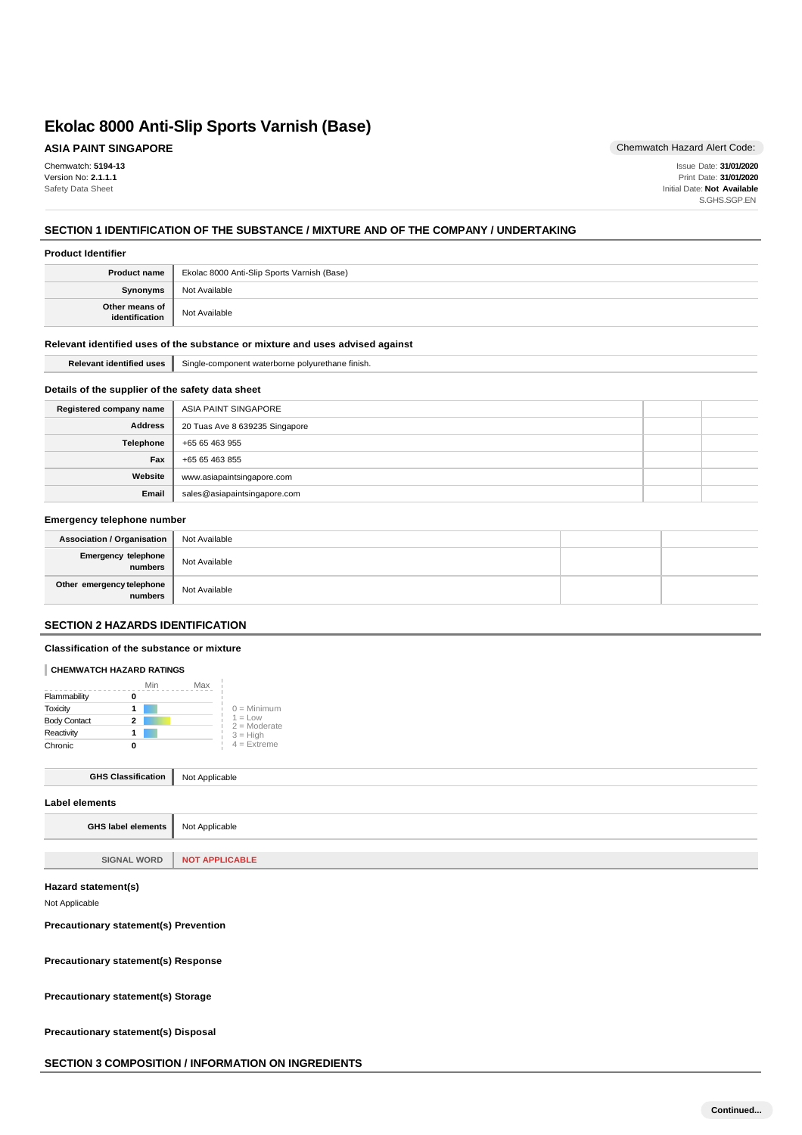**ASIA PAINT SINGAPORE**

Chemwatch: **5194-13** Version No: **2.1.1.1** Safety Data Sheet

Chemwatch Hazard Alert Code:

Issue Date: **31/01/2020** Print Date: **31/01/2020** Initial Date: **Not Available** S.GHS.SGP.EN

# **SECTION 1 IDENTIFICATION OF THE SUBSTANCE / MIXTURE AND OF THE COMPANY / UNDERTAKING**

### **Product Identifier**

| <b>Product name</b>              | Ekolac 8000 Anti-Slip Sports Varnish (Base) |
|----------------------------------|---------------------------------------------|
| <b>Synonyms</b>                  | Not Available                               |
| Other means of<br>identification | Not Available                               |

### **Relevant identified uses of the substance or mixture and uses advised against**

# Relevant identified uses | Single-component waterborne polyurethane finish.

## **Details of the supplier of the safety data sheet**

| Registered company name | ASIA PAINT SINGAPORE           |  |
|-------------------------|--------------------------------|--|
| <b>Address</b>          | 20 Tuas Ave 8 639235 Singapore |  |
| Telephone               | +65 65 463 955                 |  |
| Fax                     | +65 65 463 855                 |  |
| Website                 | www.asiapaintsingapore.com     |  |
| Email                   | sales@asiapaintsingapore.com   |  |

### **Emergency telephone number**

| Association / Organisation           | Not Available |  |
|--------------------------------------|---------------|--|
| Emergency telephone<br>numbers       | Not Available |  |
| Other emergency telephone<br>numbers | Not Available |  |

## **SECTION 2 HAZARDS IDENTIFICATION**

### **Classification of the substance or mixture**

## **CHEMWATCH HAZARD RATINGS**

|                     | Min | Max |                             |
|---------------------|-----|-----|-----------------------------|
| Flammability        |     |     |                             |
| Toxicity            |     |     | $0 =$ Minimum               |
| <b>Body Contact</b> | 2   |     | $1 = Low$<br>$2 =$ Moderate |
| Reactivity          |     |     | $3 = High$                  |
| Chronic             |     |     | $4$ = Extreme               |

| <b>GHS Classification</b>   Not Applicable |  |
|--------------------------------------------|--|
| Label elements                             |  |
| GHS label elements   Not Applicable        |  |

# **SIGNAL WORD NOT APPLICABLE**

### **Hazard statement(s)**

Not Applicable

## **Precautionary statement(s) Prevention**

**Precautionary statement(s) Response**

**Precautionary statement(s) Storage**

**Precautionary statement(s) Disposal**

```
SECTION 3 COMPOSITION / INFORMATION ON INGREDIENTS
```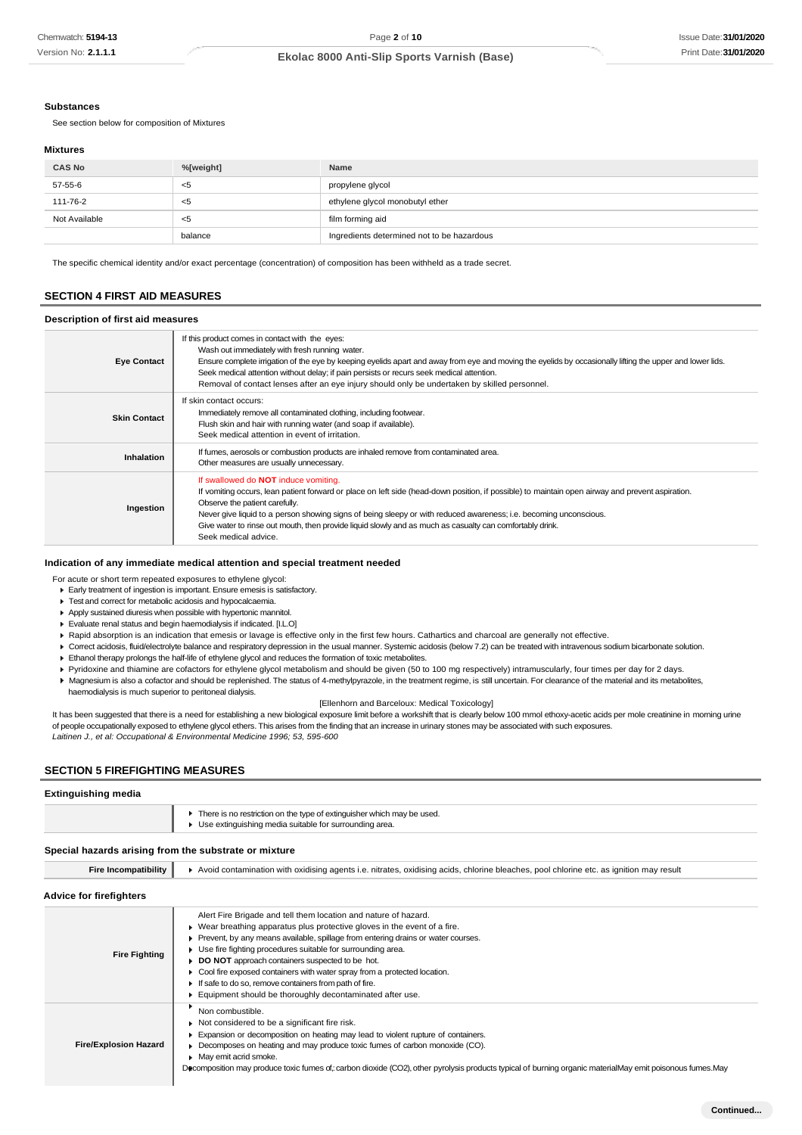### **Substances**

See section below for composition of Mixtures

#### **Mixtures**

| <b>CAS No</b> | %[weight] | Name                                       |
|---------------|-----------|--------------------------------------------|
| 57-55-6       | <5        | propylene glycol                           |
| 111-76-2      | <5        | ethylene glycol monobutyl ether            |
| Not Available | - <5      | film forming aid                           |
|               | balance   | Ingredients determined not to be hazardous |

The specific chemical identity and/or exact percentage (concentration) of composition has been withheld as a trade secret.

## **SECTION 4 FIRST AID MEASURES**

### **Description of first aid measures**

| <b>Eye Contact</b>  | If this product comes in contact with the eyes:<br>Wash out immediately with fresh running water.<br>Ensure complete irrigation of the eye by keeping eyelids apart and away from eye and moving the eyelids by occasionally lifting the upper and lower lids.<br>Seek medical attention without delay; if pain persists or recurs seek medical attention.<br>Removal of contact lenses after an eye injury should only be undertaken by skilled personnel.                                |
|---------------------|--------------------------------------------------------------------------------------------------------------------------------------------------------------------------------------------------------------------------------------------------------------------------------------------------------------------------------------------------------------------------------------------------------------------------------------------------------------------------------------------|
| <b>Skin Contact</b> | If skin contact occurs:<br>Immediately remove all contaminated clothing, including footwear.<br>Flush skin and hair with running water (and soap if available).<br>Seek medical attention in event of irritation.                                                                                                                                                                                                                                                                          |
| <b>Inhalation</b>   | If fumes, aerosols or combustion products are inhaled remove from contaminated area.<br>Other measures are usually unnecessary.                                                                                                                                                                                                                                                                                                                                                            |
| Ingestion           | If swallowed do <b>NOT</b> induce vomiting.<br>If vomiting occurs, lean patient forward or place on left side (head-down position, if possible) to maintain open airway and prevent aspiration.<br>Observe the patient carefully.<br>Never give liquid to a person showing signs of being sleepy or with reduced awareness; i.e. becoming unconscious.<br>Give water to rinse out mouth, then provide liquid slowly and as much as casualty can comfortably drink.<br>Seek medical advice. |

#### **Indication of any immediate medical attention and special treatment needed**

- For acute or short term repeated exposures to ethylene glycol:
- Early treatment of ingestion is important. Ensure emesis is satisfactory.
- $\blacktriangleright$  Test and correct for metabolic acidosis and hypocalcaemia.
- Apply sustained diuresis when possible with hypertonic mannitol.
- Evaluate renal status and begin haemodialysis if indicated. [I.L.O]
- Rapid absorption is an indication that emesis or lavage is effective only in the first few hours. Cathartics and charcoal are generally not effective.
- ▶ Correct acidosis, fluid/electrolyte balance and respiratory depression in the usual manner. Systemic acidosis (below 7.2) can be treated with intravenous sodium bicarbonate solution.
- Ethanol therapy prolongs the half-life of ethylene glycol and reduces the formation of toxic metabolites.
- Pyridoxine and thiamine are cofactors for ethylene glycol metabolism and should be given (50 to 100 mg respectively) intramuscularly, four times per day for 2 days.
- ▶ Magnesium is also a cofactor and should be replenished. The status of 4-methylpyrazole, in the treatment regime, is still uncertain. For clearance of the material and its metabolites,
	- haemodialysis is much superior to peritoneal dialysis.

### [Ellenhorn and Barceloux: Medical Toxicology]

It has been suggested that there is a need for establishing a new biological exposure limit before a workshift that is clearly below 100 mmol ethoxy-acetic acids per mole creatinine in morning urine of people occupationally exposed to ethylene glycol ethers. This arises from the finding that an increase in urinary stones may be associated with such exposures. *Laitinen J., et al: Occupational & Environmental Medicine 1996; 53, 595-600*

## **SECTION 5 FIREFIGHTING MEASURES**

### **Extinguishing media**

| There is no restriction on the type of extinguisher which may be used.<br>▶ Use extinguishing media suitable for surrounding area. |
|------------------------------------------------------------------------------------------------------------------------------------|
|                                                                                                                                    |

## **Special hazards arising from the substrate or mixture**

Fire Incompatibility **A** Avoid contamination with oxidising agents i.e. nitrates, oxidising acids, chlorine bleaches, pool chlorine etc. as ignition may result

# **Advice for firefighters**

| Auvice Tor Inchgriters       |                                                                                                                                                                                                                                                                                                                                                                                                                                                                                                                                                                            |
|------------------------------|----------------------------------------------------------------------------------------------------------------------------------------------------------------------------------------------------------------------------------------------------------------------------------------------------------------------------------------------------------------------------------------------------------------------------------------------------------------------------------------------------------------------------------------------------------------------------|
| <b>Fire Fighting</b>         | Alert Fire Brigade and tell them location and nature of hazard.<br>$\blacktriangleright$ Wear breathing apparatus plus protective gloves in the event of a fire.<br>Prevent, by any means available, spillage from entering drains or water courses.<br>Use fire fighting procedures suitable for surrounding area.<br>DO NOT approach containers suspected to be hot.<br>► Cool fire exposed containers with water spray from a protected location.<br>If safe to do so, remove containers from path of fire.<br>Equipment should be thoroughly decontaminated after use. |
| <b>Fire/Explosion Hazard</b> | Non combustible.<br>Not considered to be a significant fire risk.<br>Expansion or decomposition on heating may lead to violent rupture of containers.<br>Decomposes on heating and may produce toxic fumes of carbon monoxide (CO).<br>• May emit acrid smoke.<br>Decomposition may produce toxic fumes of : carbon dioxide (CO2), other pyrolysis products typical of burning organic materialMay emit poisonous fumes.May                                                                                                                                                |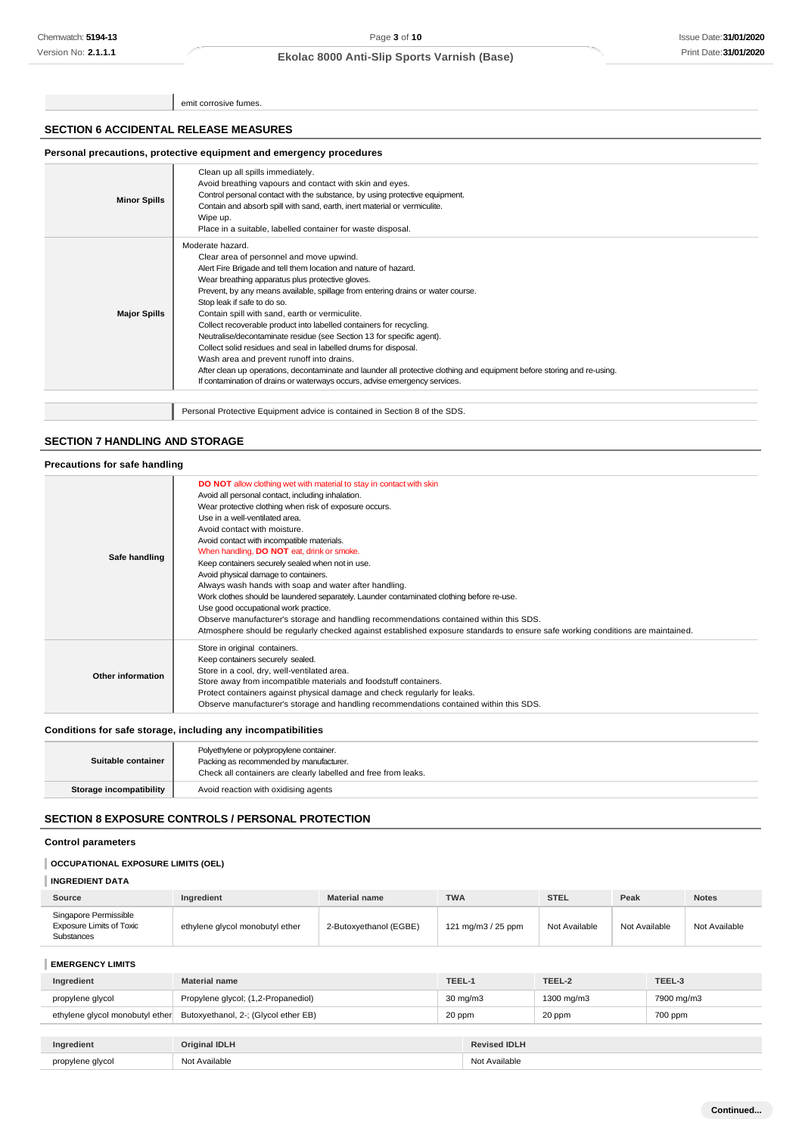emit corrosive fumes.

## **SECTION 6 ACCIDENTAL RELEASE MEASURES**

## **Personal precautions, protective equipment and emergency procedures**

| <b>Minor Spills</b> | Clean up all spills immediately.<br>Avoid breathing vapours and contact with skin and eyes.<br>Control personal contact with the substance, by using protective equipment.<br>Contain and absorb spill with sand, earth, inert material or vermiculite.<br>Wipe up.<br>Place in a suitable, labelled container for waste disposal.                                                                                                                                                                                                                                                                                                                                                                                                                                                                                               |
|---------------------|----------------------------------------------------------------------------------------------------------------------------------------------------------------------------------------------------------------------------------------------------------------------------------------------------------------------------------------------------------------------------------------------------------------------------------------------------------------------------------------------------------------------------------------------------------------------------------------------------------------------------------------------------------------------------------------------------------------------------------------------------------------------------------------------------------------------------------|
| <b>Major Spills</b> | Moderate hazard.<br>Clear area of personnel and move upwind.<br>Alert Fire Brigade and tell them location and nature of hazard.<br>Wear breathing apparatus plus protective gloves.<br>Prevent, by any means available, spillage from entering drains or water course.<br>Stop leak if safe to do so.<br>Contain spill with sand, earth or vermiculite.<br>Collect recoverable product into labelled containers for recycling.<br>Neutralise/decontaminate residue (see Section 13 for specific agent).<br>Collect solid residues and seal in labelled drums for disposal.<br>Wash area and prevent runoff into drains.<br>After clean up operations, decontaminate and launder all protective clothing and equipment before storing and re-using.<br>If contamination of drains or waterways occurs, advise emergency services. |
|                     | Personal Protective Equipment advice is contained in Section 8 of the SDS.                                                                                                                                                                                                                                                                                                                                                                                                                                                                                                                                                                                                                                                                                                                                                       |

# **SECTION 7 HANDLING AND STORAGE**

| Precautions for safe handling |                                                                                                                                                                                                                                                                                                                                                                                                                                                                                                                                                                                                                                                                                                                                                                                                                                                                                        |
|-------------------------------|----------------------------------------------------------------------------------------------------------------------------------------------------------------------------------------------------------------------------------------------------------------------------------------------------------------------------------------------------------------------------------------------------------------------------------------------------------------------------------------------------------------------------------------------------------------------------------------------------------------------------------------------------------------------------------------------------------------------------------------------------------------------------------------------------------------------------------------------------------------------------------------|
| Safe handling                 | <b>DO NOT</b> allow clothing wet with material to stay in contact with skin<br>Avoid all personal contact, including inhalation.<br>Wear protective clothing when risk of exposure occurs.<br>Use in a well-ventilated area.<br>Avoid contact with moisture.<br>Avoid contact with incompatible materials.<br>When handling, <b>DO NOT</b> eat, drink or smoke.<br>Keep containers securely sealed when not in use.<br>Avoid physical damage to containers.<br>Always wash hands with soap and water after handling.<br>Work clothes should be laundered separately. Launder contaminated clothing before re-use.<br>Use good occupational work practice.<br>Observe manufacturer's storage and handling recommendations contained within this SDS.<br>Atmosphere should be regularly checked against established exposure standards to ensure safe working conditions are maintained. |
| Other information             | Store in original containers.<br>Keep containers securely sealed.<br>Store in a cool, dry, well-ventilated area.<br>Store away from incompatible materials and foodstuff containers.<br>Protect containers against physical damage and check regularly for leaks.<br>Observe manufacturer's storage and handling recommendations contained within this SDS.                                                                                                                                                                                                                                                                                                                                                                                                                                                                                                                            |

# **Conditions for safe storage, including any incompatibilities**

| Suitable container      | Polyethylene or polypropylene container.<br>Packing as recommended by manufacturer.<br>Check all containers are clearly labelled and free from leaks. |
|-------------------------|-------------------------------------------------------------------------------------------------------------------------------------------------------|
| Storage incompatibility | Avoid reaction with oxidising agents                                                                                                                  |

# **SECTION 8 EXPOSURE CONTROLS / PERSONAL PROTECTION**

### **Control parameters**

# **OCCUPATIONAL EXPOSURE LIMITS (OEL)**

# **INGREDIENT DATA**

| Source                                                                 | Ingredient                      | <b>Material name</b>   | <b>TWA</b>         | <b>STEL</b>   | Peak          | <b>Notes</b>  |
|------------------------------------------------------------------------|---------------------------------|------------------------|--------------------|---------------|---------------|---------------|
| Singapore Permissible<br><b>Exposure Limits of Toxic</b><br>Substances | ethylene glycol monobutyl ether | 2-Butoxvethanol (EGBE) | 121 mg/m3 / 25 ppm | Not Available | Not Available | Not Available |

## **EMERGENCY LIMITS**

| Ingredient                      | <b>Material name</b>                 | TEEL-1            |                 | TEEL-2     | TEEL-3     |
|---------------------------------|--------------------------------------|-------------------|-----------------|------------|------------|
| propylene glycol                | Propylene glycol; (1,2-Propanediol)  | $30 \text{ mg/m}$ |                 | 1300 mg/m3 | 7900 mg/m3 |
| ethylene glycol monobutyl ether | Butoxyethanol, 2-; (Glycol ether EB) | 20 ppm            |                 | 20 ppm     | 700 ppm    |
|                                 |                                      |                   |                 |            |            |
| <b>Increased Install</b>        | $Quint1 = 1101111$                   |                   | Deviasal IDI II |            |            |

| . .<br>prop<br>VCO.<br>ימה.<br>minmax | ALC <sup>1</sup><br>. |
|---------------------------------------|-----------------------|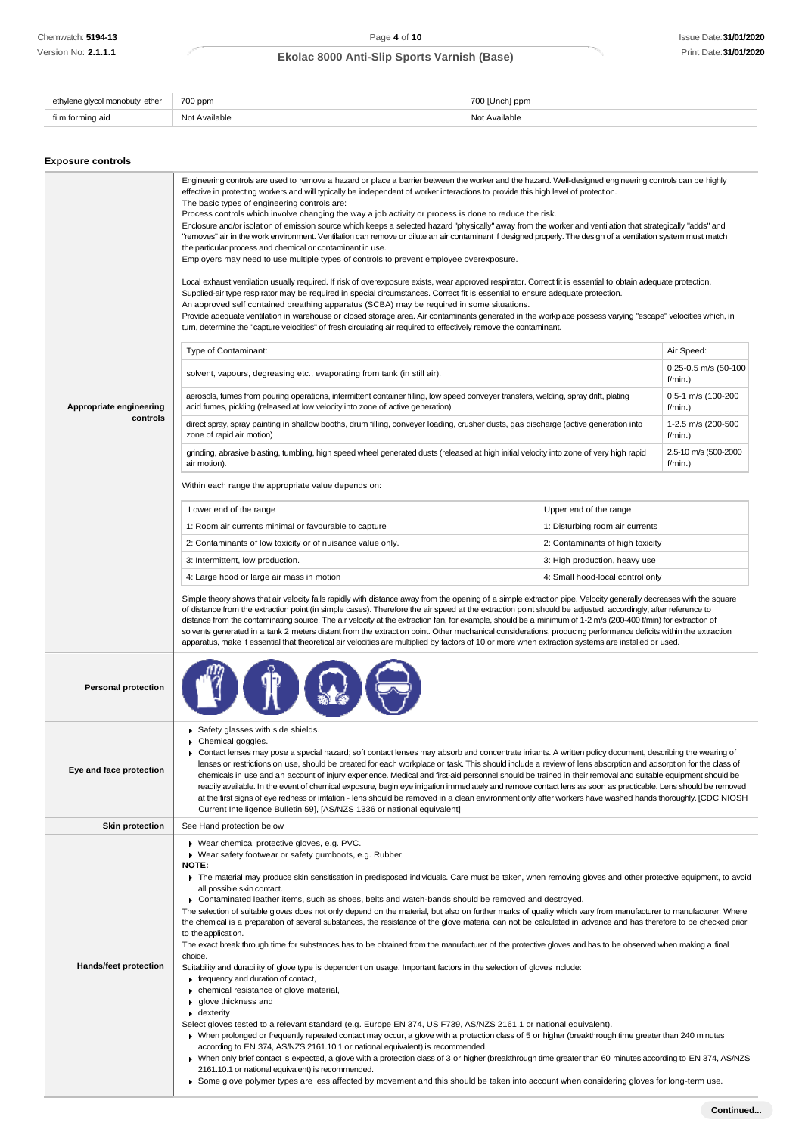| e alvcol monobutvl ether | 700 ppm       | 700 [Unch] ppm    |
|--------------------------|---------------|-------------------|
| ı formina aid            | Not Available | Available<br>יי ה |

# **Exposure controls**

|                            | Engineering controls are used to remove a hazard or place a barrier between the worker and the hazard. Well-designed engineering controls can be highly<br>effective in protecting workers and will typically be independent of worker interactions to provide this high level of protection.<br>The basic types of engineering controls are:<br>Process controls which involve changing the way a job activity or process is done to reduce the risk.<br>Enclosure and/or isolation of emission source which keeps a selected hazard "physically" away from the worker and ventilation that strategically "adds" and<br>"removes" air in the work environment. Ventilation can remove or dilute an air contaminant if designed properly. The design of a ventilation system must match<br>the particular process and chemical or contaminant in use.<br>Employers may need to use multiple types of controls to prevent employee overexposure.<br>Local exhaust ventilation usually required. If risk of overexposure exists, wear approved respirator. Correct fit is essential to obtain adequate protection.<br>Supplied-air type respirator may be required in special circumstances. Correct fit is essential to ensure adequate protection.<br>An approved self contained breathing apparatus (SCBA) may be required in some situations.<br>Provide adequate ventilation in warehouse or closed storage area. Air contaminants generated in the workplace possess varying "escape" velocities which, in<br>turn, determine the "capture velocities" of fresh circulating air required to effectively remove the contaminant.                                                                                                                                                                                                                                                                                                                                          |                                  |                                 |  |
|----------------------------|------------------------------------------------------------------------------------------------------------------------------------------------------------------------------------------------------------------------------------------------------------------------------------------------------------------------------------------------------------------------------------------------------------------------------------------------------------------------------------------------------------------------------------------------------------------------------------------------------------------------------------------------------------------------------------------------------------------------------------------------------------------------------------------------------------------------------------------------------------------------------------------------------------------------------------------------------------------------------------------------------------------------------------------------------------------------------------------------------------------------------------------------------------------------------------------------------------------------------------------------------------------------------------------------------------------------------------------------------------------------------------------------------------------------------------------------------------------------------------------------------------------------------------------------------------------------------------------------------------------------------------------------------------------------------------------------------------------------------------------------------------------------------------------------------------------------------------------------------------------------------------------------------------------------------------------------------------------------------|----------------------------------|---------------------------------|--|
|                            | Type of Contaminant:                                                                                                                                                                                                                                                                                                                                                                                                                                                                                                                                                                                                                                                                                                                                                                                                                                                                                                                                                                                                                                                                                                                                                                                                                                                                                                                                                                                                                                                                                                                                                                                                                                                                                                                                                                                                                                                                                                                                                         |                                  | Air Speed:                      |  |
|                            | solvent, vapours, degreasing etc., evaporating from tank (in still air).                                                                                                                                                                                                                                                                                                                                                                                                                                                                                                                                                                                                                                                                                                                                                                                                                                                                                                                                                                                                                                                                                                                                                                                                                                                                                                                                                                                                                                                                                                                                                                                                                                                                                                                                                                                                                                                                                                     |                                  | 0.25-0.5 m/s (50-100<br>f/min.) |  |
| Appropriate engineering    | aerosols, fumes from pouring operations, intermittent container filling, low speed conveyer transfers, welding, spray drift, plating<br>acid fumes, pickling (released at low velocity into zone of active generation)                                                                                                                                                                                                                                                                                                                                                                                                                                                                                                                                                                                                                                                                                                                                                                                                                                                                                                                                                                                                                                                                                                                                                                                                                                                                                                                                                                                                                                                                                                                                                                                                                                                                                                                                                       |                                  | 0.5-1 m/s (100-200<br>f/min.)   |  |
| controls                   | direct spray, spray painting in shallow booths, drum filling, conveyer loading, crusher dusts, gas discharge (active generation into<br>zone of rapid air motion)                                                                                                                                                                                                                                                                                                                                                                                                                                                                                                                                                                                                                                                                                                                                                                                                                                                                                                                                                                                                                                                                                                                                                                                                                                                                                                                                                                                                                                                                                                                                                                                                                                                                                                                                                                                                            |                                  | 1-2.5 m/s (200-500<br>f/min.)   |  |
|                            | grinding, abrasive blasting, tumbling, high speed wheel generated dusts (released at high initial velocity into zone of very high rapid<br>air motion).                                                                                                                                                                                                                                                                                                                                                                                                                                                                                                                                                                                                                                                                                                                                                                                                                                                                                                                                                                                                                                                                                                                                                                                                                                                                                                                                                                                                                                                                                                                                                                                                                                                                                                                                                                                                                      |                                  | 2.5-10 m/s (500-2000<br>f/min.) |  |
|                            | Within each range the appropriate value depends on:                                                                                                                                                                                                                                                                                                                                                                                                                                                                                                                                                                                                                                                                                                                                                                                                                                                                                                                                                                                                                                                                                                                                                                                                                                                                                                                                                                                                                                                                                                                                                                                                                                                                                                                                                                                                                                                                                                                          |                                  |                                 |  |
|                            | Lower end of the range                                                                                                                                                                                                                                                                                                                                                                                                                                                                                                                                                                                                                                                                                                                                                                                                                                                                                                                                                                                                                                                                                                                                                                                                                                                                                                                                                                                                                                                                                                                                                                                                                                                                                                                                                                                                                                                                                                                                                       | Upper end of the range           |                                 |  |
|                            | 1: Room air currents minimal or favourable to capture                                                                                                                                                                                                                                                                                                                                                                                                                                                                                                                                                                                                                                                                                                                                                                                                                                                                                                                                                                                                                                                                                                                                                                                                                                                                                                                                                                                                                                                                                                                                                                                                                                                                                                                                                                                                                                                                                                                        | 1: Disturbing room air currents  |                                 |  |
|                            | 2: Contaminants of low toxicity or of nuisance value only.                                                                                                                                                                                                                                                                                                                                                                                                                                                                                                                                                                                                                                                                                                                                                                                                                                                                                                                                                                                                                                                                                                                                                                                                                                                                                                                                                                                                                                                                                                                                                                                                                                                                                                                                                                                                                                                                                                                   | 2: Contaminants of high toxicity |                                 |  |
|                            | 3: Intermittent, low production.                                                                                                                                                                                                                                                                                                                                                                                                                                                                                                                                                                                                                                                                                                                                                                                                                                                                                                                                                                                                                                                                                                                                                                                                                                                                                                                                                                                                                                                                                                                                                                                                                                                                                                                                                                                                                                                                                                                                             | 3: High production, heavy use    |                                 |  |
|                            | 4: Large hood or large air mass in motion<br>4: Small hood-local control only                                                                                                                                                                                                                                                                                                                                                                                                                                                                                                                                                                                                                                                                                                                                                                                                                                                                                                                                                                                                                                                                                                                                                                                                                                                                                                                                                                                                                                                                                                                                                                                                                                                                                                                                                                                                                                                                                                |                                  |                                 |  |
|                            | Simple theory shows that air velocity falls rapidly with distance away from the opening of a simple extraction pipe. Velocity generally decreases with the square<br>of distance from the extraction point (in simple cases). Therefore the air speed at the extraction point should be adjusted, accordingly, after reference to<br>distance from the contaminating source. The air velocity at the extraction fan, for example, should be a minimum of 1-2 m/s (200-400 f/min) for extraction of<br>solvents generated in a tank 2 meters distant from the extraction point. Other mechanical considerations, producing performance deficits within the extraction<br>apparatus, make it essential that theoretical air velocities are multiplied by factors of 10 or more when extraction systems are installed or used.                                                                                                                                                                                                                                                                                                                                                                                                                                                                                                                                                                                                                                                                                                                                                                                                                                                                                                                                                                                                                                                                                                                                                  |                                  |                                 |  |
| <b>Personal protection</b> |                                                                                                                                                                                                                                                                                                                                                                                                                                                                                                                                                                                                                                                                                                                                                                                                                                                                                                                                                                                                                                                                                                                                                                                                                                                                                                                                                                                                                                                                                                                                                                                                                                                                                                                                                                                                                                                                                                                                                                              |                                  |                                 |  |
| Eye and face protection    | Safety glasses with side shields.<br>Chemical goggles.<br>▶ Contact lenses may pose a special hazard; soft contact lenses may absorb and concentrate irritants. A written policy document, describing the wearing of<br>lenses or restrictions on use, should be created for each workplace or task. This should include a review of lens absorption and adsorption for the class of<br>chemicals in use and an account of injury experience. Medical and first-aid personnel should be trained in their removal and suitable equipment should be<br>readily available. In the event of chemical exposure, begin eye irrigation immediately and remove contact lens as soon as practicable. Lens should be removed<br>at the first signs of eye redness or irritation - lens should be removed in a clean environment only after workers have washed hands thoroughly. [CDC NIOSH<br>Current Intelligence Bulletin 59], [AS/NZS 1336 or national equivalent]                                                                                                                                                                                                                                                                                                                                                                                                                                                                                                                                                                                                                                                                                                                                                                                                                                                                                                                                                                                                                 |                                  |                                 |  |
| <b>Skin protection</b>     | See Hand protection below                                                                                                                                                                                                                                                                                                                                                                                                                                                                                                                                                                                                                                                                                                                                                                                                                                                                                                                                                                                                                                                                                                                                                                                                                                                                                                                                                                                                                                                                                                                                                                                                                                                                                                                                                                                                                                                                                                                                                    |                                  |                                 |  |
| Hands/feet protection      | Wear chemical protective gloves, e.g. PVC.<br>▶ Wear safety footwear or safety gumboots, e.g. Rubber<br><b>NOTE:</b><br>The material may produce skin sensitisation in predisposed individuals. Care must be taken, when removing gloves and other protective equipment, to avoid<br>all possible skin contact.<br>► Contaminated leather items, such as shoes, belts and watch-bands should be removed and destroyed.<br>The selection of suitable gloves does not only depend on the material, but also on further marks of quality which vary from manufacturer to manufacturer. Where<br>the chemical is a preparation of several substances, the resistance of the glove material can not be calculated in advance and has therefore to be checked prior<br>to the application.<br>The exact break through time for substances has to be obtained from the manufacturer of the protective gloves and.has to be observed when making a final<br>choice.<br>Suitability and durability of glove type is dependent on usage. Important factors in the selection of gloves include:<br>$\blacktriangleright$ frequency and duration of contact,<br>• chemical resistance of glove material,<br>▶ glove thickness and<br>$\bullet$ dexterity<br>Select gloves tested to a relevant standard (e.g. Europe EN 374, US F739, AS/NZS 2161.1 or national equivalent).<br>• When prolonged or frequently repeated contact may occur, a glove with a protection class of 5 or higher (breakthrough time greater than 240 minutes<br>according to EN 374, AS/NZS 2161.10.1 or national equivalent) is recommended.<br>> When only brief contact is expected, a glove with a protection class of 3 or higher (breakthrough time greater than 60 minutes according to EN 374, AS/NZS<br>2161.10.1 or national equivalent) is recommended.<br>▶ Some glove polymer types are less affected by movement and this should be taken into account when considering gloves for long-term use. |                                  |                                 |  |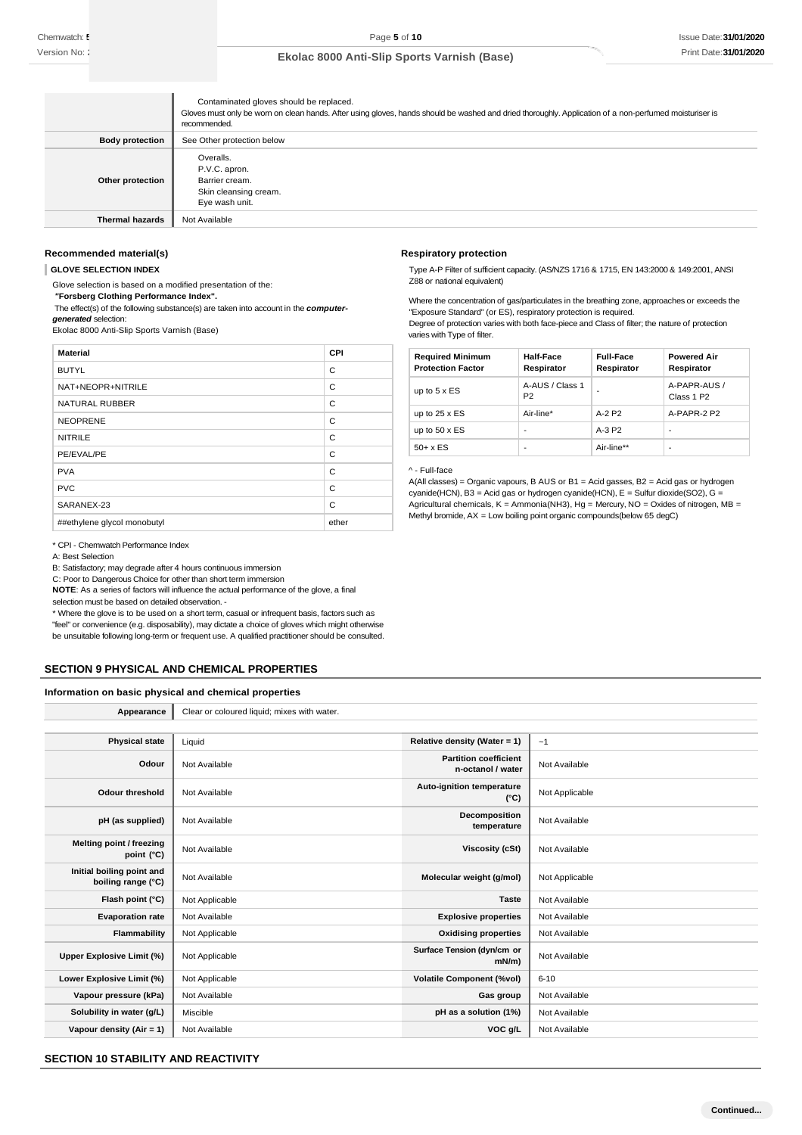|                        | Contaminated gloves should be replaced.<br>Gloves must only be wom on clean hands. After using gloves, hands should be washed and dried thoroughly. Application of a non-perfumed moisturiser is<br>recommended. |
|------------------------|------------------------------------------------------------------------------------------------------------------------------------------------------------------------------------------------------------------|
| <b>Body protection</b> | See Other protection below                                                                                                                                                                                       |
| Other protection       | Overalls.<br>P.V.C. apron.<br>Barrier cream.<br>Skin cleansing cream.<br>Eye wash unit.                                                                                                                          |
| <b>Thermal hazards</b> | Not Available                                                                                                                                                                                                    |

### **Recommended material(s)**

**GLOVE SELECTION INDEX**

Glove selection is based on a modified presentation of the:

*"***Forsberg Clothing Performance Index".**

The effect(s) of the following substance(s) are taken into account in the *computergenerated* selection:

Ekolac 8000 Anti-Slip Sports Varnish (Base)

| <b>Material</b>             | CPI   |
|-----------------------------|-------|
| <b>BUTYL</b>                | C     |
| NAT+NEOPR+NITRILE           | C     |
| <b>NATURAL RUBBER</b>       | C     |
| <b>NEOPRENE</b>             | C     |
| <b>NITRILE</b>              | C     |
| PE/EVAL/PE                  | C     |
| <b>PVA</b>                  | C     |
| <b>PVC</b>                  | C     |
| SARANEX-23                  | C     |
| ##ethylene glycol monobutyl | ether |

\* CPI - Chemwatch Performance Index

A: Best Selection

B: Satisfactory; may degrade after 4 hours continuous immersion

C: Poor to Dangerous Choice for other than short term immersion

**NOTE**: As a series of factors will influence the actual performance of the glove, a final selection must be based on detailed observation. -

\* Where the glove is to be used on a short term, casual or infrequent basis, factors such as "feel" or convenience (e.g. disposability), may dictate a choice of gloves which might otherwise be unsuitable following long-term or frequent use. A qualified practitioner should be consulted.

## **SECTION 9 PHYSICAL AND CHEMICAL PROPERTIES**

### **Information on basic physical and chemical properties**

| Appearance                                      | Clear or coloured liquid; mixes with water. |                                                   |                |
|-------------------------------------------------|---------------------------------------------|---------------------------------------------------|----------------|
|                                                 |                                             |                                                   |                |
| <b>Physical state</b>                           | Liquid                                      | Relative density (Water = 1)                      | ~1             |
| Odour                                           | Not Available                               | <b>Partition coefficient</b><br>n-octanol / water | Not Available  |
| <b>Odour threshold</b>                          | Not Available                               | Auto-ignition temperature<br>$(^{\circ}C)$        | Not Applicable |
| pH (as supplied)                                | Not Available                               | Decomposition<br>temperature                      | Not Available  |
| Melting point / freezing<br>point (°C)          | Not Available                               | <b>Viscosity (cSt)</b>                            | Not Available  |
| Initial boiling point and<br>boiling range (°C) | Not Available                               | Molecular weight (g/mol)                          | Not Applicable |
| Flash point (°C)                                | Not Applicable                              | <b>Taste</b>                                      | Not Available  |
| <b>Evaporation rate</b>                         | Not Available                               | <b>Explosive properties</b>                       | Not Available  |
| Flammability                                    | Not Applicable                              | <b>Oxidising properties</b>                       | Not Available  |
| Upper Explosive Limit (%)                       | Not Applicable                              | Surface Tension (dyn/cm or<br>$mN/m$ )            | Not Available  |
| Lower Explosive Limit (%)                       | Not Applicable                              | <b>Volatile Component (%vol)</b>                  | $6 - 10$       |
| Vapour pressure (kPa)                           | Not Available                               | Gas group                                         | Not Available  |
| Solubility in water (g/L)                       | Miscible                                    | pH as a solution (1%)                             | Not Available  |
| Vapour density (Air = 1)                        | Not Available                               | VOC g/L                                           | Not Available  |

## **SECTION 10 STABILITY AND REACTIVITY**

### **Respiratory protection**

Type A-P Filter of sufficient capacity. (AS/NZS 1716 & 1715, EN 143:2000 & 149:2001, ANSI Z88 or national equivalent)

Where the concentration of gas/particulates in the breathing zone, approaches or exceeds the "Exposure Standard" (or ES), respiratory protection is required.

Degree of protection varies with both face-piece and Class of filter; the nature of protection varies with Type of filter.

| <b>Required Minimum</b><br><b>Protection Factor</b> | <b>Half-Face</b><br>Respirator    | <b>Full-Face</b><br>Respirator | <b>Powered Air</b><br>Respirator       |
|-----------------------------------------------------|-----------------------------------|--------------------------------|----------------------------------------|
| up to $5 \times ES$                                 | A-AUS / Class 1<br>P <sub>2</sub> |                                | A-PAPR-AUS /<br>Class 1 P <sub>2</sub> |
| up to $25 \times ES$                                | Air-line*                         | $A-2$ P <sub>2</sub>           | A-PAPR-2 P2                            |
| up to $50 \times ES$                                | ۰                                 | $A-3P2$                        | ۰                                      |
| $50+ x ES$                                          | ۰                                 | Air-line**                     |                                        |

### ^ - Full-face

A(All classes) = Organic vapours, B AUS or B1 = Acid gasses, B2 = Acid gas or hydrogen cyanide(HCN), B3 = Acid gas or hydrogen cyanide(HCN), E = Sulfur dioxide(SO2), G = Agricultural chemicals,  $K =$  Ammonia(NH3), Hg = Mercury, NO = Oxides of nitrogen, MB = Methyl bromide, AX = Low boiling point organic compounds(below 65 degC)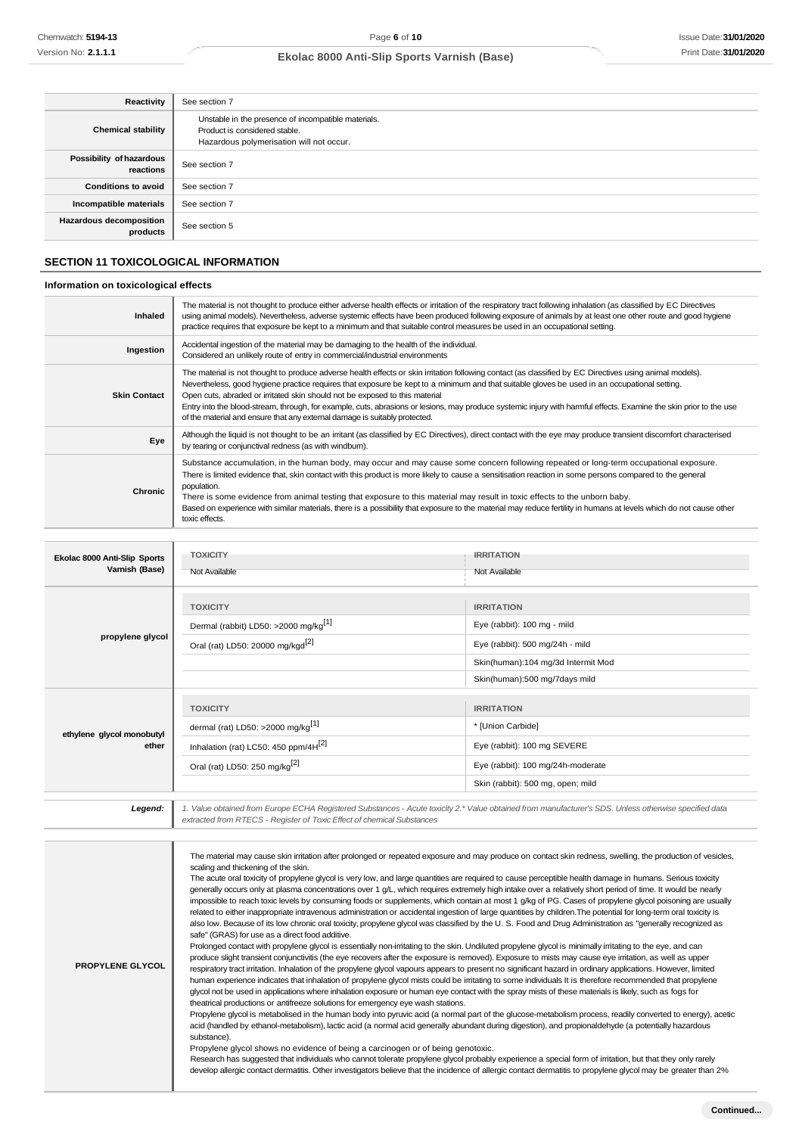| Reactivity                                 | See section 7                                                                                                                    |
|--------------------------------------------|----------------------------------------------------------------------------------------------------------------------------------|
| <b>Chemical stability</b>                  | Unstable in the presence of incompatible materials.<br>Product is considered stable.<br>Hazardous polymerisation will not occur. |
| Possibility of hazardous<br>reactions      | See section 7                                                                                                                    |
| <b>Conditions to avoid</b>                 | See section 7                                                                                                                    |
| Incompatible materials                     | See section 7                                                                                                                    |
| <b>Hazardous decomposition</b><br>products | See section 5                                                                                                                    |

# **SECTION 11 TOXICOLOGICAL INFORMATION**

## **Information on toxicological effects**

| <b>Inhaled</b>      | The material is not thought to produce either adverse health effects or irritation of the respiratory tract following inhalation (as classified by EC Directives<br>using animal models). Nevertheless, adverse systemic effects have been produced following exposure of animals by at least one other route and good hygiene<br>practice requires that exposure be kept to a minimum and that suitable control measures be used in an occupational setting.                                                                                                                                                                               |
|---------------------|---------------------------------------------------------------------------------------------------------------------------------------------------------------------------------------------------------------------------------------------------------------------------------------------------------------------------------------------------------------------------------------------------------------------------------------------------------------------------------------------------------------------------------------------------------------------------------------------------------------------------------------------|
| Ingestion           | Accidental ingestion of the material may be damaging to the health of the individual.<br>Considered an unlikely route of entry in commercial/industrial environments                                                                                                                                                                                                                                                                                                                                                                                                                                                                        |
| <b>Skin Contact</b> | The material is not thought to produce adverse health effects or skin irritation following contact (as classified by EC Directives using animal models).<br>Nevertheless, good hygiene practice requires that exposure be kept to a minimum and that suitable gloves be used in an occupational setting.<br>Open cuts, abraded or irritated skin should not be exposed to this material<br>Entry into the blood-stream, through, for example, cuts, abrasions or lesions, may produce systemic injury with harmful effects. Examine the skin prior to the use<br>of the material and ensure that any external damage is suitably protected. |
| Eye                 | Although the liquid is not thought to be an irritant (as classified by EC Directives), direct contact with the eye may produce transient discomfort characterised<br>by tearing or conjunctival redness (as with windburn).                                                                                                                                                                                                                                                                                                                                                                                                                 |
| Chronic             | Substance accumulation, in the human body, may occur and may cause some concern following repeated or long-term occupational exposure.<br>There is limited evidence that, skin contact with this product is more likely to cause a sensitisation reaction in some persons compared to the general<br>population.<br>There is some evidence from animal testing that exposure to this material may result in toxic effects to the unborn baby.<br>Based on experience with similar materials, there is a possibility that exposure to the material may reduce fertility in humans at levels which do not cause other<br>toxic effects.       |

| Ekolac 8000 Anti-Slip Sports<br>Varnish (Base) | <b>TOXICITY</b><br>Not Available                                                                                                                                  | <b>IRRITATION</b><br>Not Available                                                                                                                         |
|------------------------------------------------|-------------------------------------------------------------------------------------------------------------------------------------------------------------------|------------------------------------------------------------------------------------------------------------------------------------------------------------|
| propylene glycol                               | <b>TOXICITY</b><br>Dermal (rabbit) LD50: >2000 mg/kg <sup>[1]</sup><br>Oral (rat) LD50: 20000 mg/kgd <sup>[2]</sup>                                               | <b>IRRITATION</b><br>Eye (rabbit): 100 mg - mild<br>Eye (rabbit): 500 mg/24h - mild<br>Skin(human):104 mg/3d Intermit Mod<br>Skin(human):500 mg/7days mild |
| ethylene glycol monobutyl<br>ether             | <b>TOXICITY</b><br>dermal (rat) LD50: >2000 mg/kg <sup>[1]</sup><br>Inhalation (rat) LC50: 450 ppm/4H <sup>[2]</sup><br>Oral (rat) LD50: 250 mg/kg <sup>[2]</sup> | <b>IRRITATION</b><br>* [Union Carbide]<br>Eye (rabbit): 100 mg SEVERE<br>Eye (rabbit): 100 mg/24h-moderate<br>Skin (rabbit): 500 mg, open; mild            |

| Legend:                 | 1. Value obtained from Europe ECHA Registered Substances - Acute toxicity 2.* Value obtained from manufacturer's SDS. Unless otherwise specified data<br>extracted from RTECS - Register of Toxic Effect of chemical Substances                                                                                                                                                                                                                                                                                                                                                                                                                                                                                                                                                                                                                                                                                                                                                                                                                                                                                                                                                                                                                                                                                                                                                                                                                                                                                                                                                                                                                                                                                                                                                                                                                                                                                                                                                                                                                                                                                                                                                                                                                                                                                                                                                                                                                                                                                                                                                                                                                                                                                              |
|-------------------------|------------------------------------------------------------------------------------------------------------------------------------------------------------------------------------------------------------------------------------------------------------------------------------------------------------------------------------------------------------------------------------------------------------------------------------------------------------------------------------------------------------------------------------------------------------------------------------------------------------------------------------------------------------------------------------------------------------------------------------------------------------------------------------------------------------------------------------------------------------------------------------------------------------------------------------------------------------------------------------------------------------------------------------------------------------------------------------------------------------------------------------------------------------------------------------------------------------------------------------------------------------------------------------------------------------------------------------------------------------------------------------------------------------------------------------------------------------------------------------------------------------------------------------------------------------------------------------------------------------------------------------------------------------------------------------------------------------------------------------------------------------------------------------------------------------------------------------------------------------------------------------------------------------------------------------------------------------------------------------------------------------------------------------------------------------------------------------------------------------------------------------------------------------------------------------------------------------------------------------------------------------------------------------------------------------------------------------------------------------------------------------------------------------------------------------------------------------------------------------------------------------------------------------------------------------------------------------------------------------------------------------------------------------------------------------------------------------------------------|
|                         |                                                                                                                                                                                                                                                                                                                                                                                                                                                                                                                                                                                                                                                                                                                                                                                                                                                                                                                                                                                                                                                                                                                                                                                                                                                                                                                                                                                                                                                                                                                                                                                                                                                                                                                                                                                                                                                                                                                                                                                                                                                                                                                                                                                                                                                                                                                                                                                                                                                                                                                                                                                                                                                                                                                              |
| <b>PROPYLENE GLYCOL</b> | The material may cause skin irritation after prolonged or repeated exposure and may produce on contact skin redness, swelling, the production of vesicles,<br>scaling and thickening of the skin.<br>The acute oral toxicity of propylene glycol is very low, and large quantities are required to cause perceptible health damage in humans. Serious toxicity<br>generally occurs only at plasma concentrations over 1 g/L, which requires extremely high intake over a relatively short period of time. It would be nearly<br>impossible to reach toxic levels by consuming foods or supplements, which contain at most 1 g/kg of PG. Cases of propylene glycol poisoning are usually<br>related to either inappropriate intravenous administration or accidental ingestion of large quantities by children. The potential for long-term oral toxicity is<br>also low. Because of its low chronic oral toxicity, propylene glycol was classified by the U.S. Food and Drug Administration as "generally recognized as<br>safe" (GRAS) for use as a direct food additive.<br>Prolonged contact with propylene glycol is essentially non-irritating to the skin. Undiluted propylene glycol is minimally irritating to the eye, and can<br>produce slight transient conjunctivitis (the eye recovers after the exposure is removed). Exposure to mists may cause eye irritation, as well as upper<br>respiratory tract irritation. Inhalation of the propylene glycol vapours appears to present no significant hazard in ordinary applications. However, limited<br>human experience indicates that inhalation of propylene glycol mists could be irritating to some individuals It is therefore recommended that propylene<br>glycol not be used in applications where inhalation exposure or human eye contact with the spray mists of these materials is likely, such as fogs for<br>theatrical productions or antifreeze solutions for emergency eye wash stations.<br>Propylene glycol is metabolised in the human body into pyruvic acid (a normal part of the glucose-metabolism process, readily converted to energy), acetic<br>acid (handled by ethanol-metabolism), lactic acid (a normal acid generally abundant during digestion), and propionaldehyde (a potentially hazardous<br>substance).<br>Propylene glycol shows no evidence of being a carcinogen or of being genotoxic.<br>Research has suggested that individuals who cannot tolerate propylene glycol probably experience a special form of irritation, but that they only rarely<br>develop allergic contact dermatitis. Other investigators believe that the incidence of allergic contact dermatitis to propylene glycol may be greater than 2% |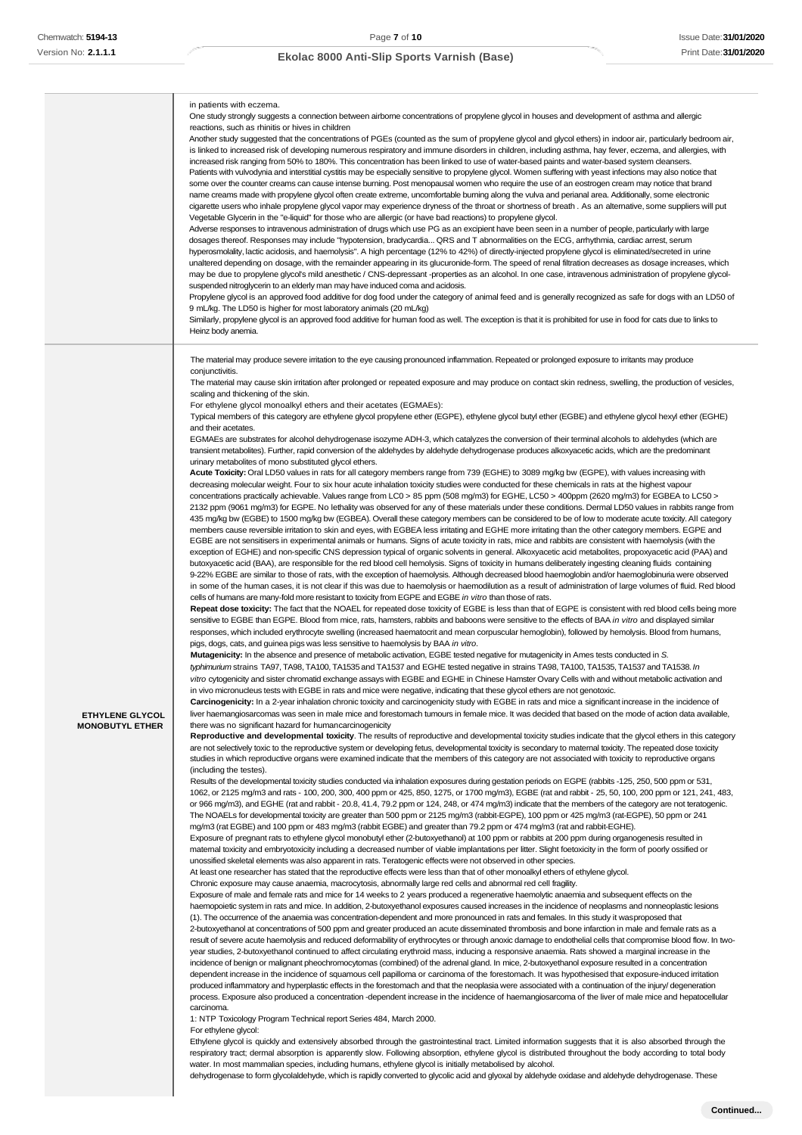|                                                  | in patients with eczema.<br>One study strongly suggests a connection between airborne concentrations of propylene glycol in houses and development of asthma and allergic<br>reactions, such as rhinitis or hives in children<br>Another study suggested that the concentrations of PGEs (counted as the sum of propylene glycol and glycol ethers) in indoor air, particularly bedroom air,<br>is linked to increased risk of developing numerous respiratory and immune disorders in children, including asthma, hay fever, eczema, and allergies, with<br>increased risk ranging from 50% to 180%. This concentration has been linked to use of water-based paints and water-based system cleansers.<br>Patients with vulvodynia and interstitial cystitis may be especially sensitive to propylene glycol. Women suffering with yeast infections may also notice that<br>some over the counter creams can cause intense burning. Post menopausal women who require the use of an eostrogen cream may notice that brand<br>name creams made with propylene glycol often create extreme, uncomfortable burning along the vulva and perianal area. Additionally, some electronic<br>cigarette users who inhale propylene glycol vapor may experience dryness of the throat or shortness of breath. As an alternative, some suppliers will put<br>Vegetable Glycerin in the "e-liquid" for those who are allergic (or have bad reactions) to propylene glycol.<br>Adverse responses to intravenous administration of drugs which use PG as an excipient have been seen in a number of people, particularly with large<br>dosages thereof. Responses may include "hypotension, bradycardia QRS and T abnormalities on the ECG, arrhythmia, cardiac arrest, serum<br>hyperosmolality, lactic acidosis, and haemolysis". A high percentage (12% to 42%) of directly-injected propylene glycol is eliminated/secreted in urine<br>unaltered depending on dosage, with the remainder appearing in its glucuronide-form. The speed of renal filtration decreases as dosage increases, which<br>may be due to propylene glycol's mild anesthetic / CNS-depressant -properties as an alcohol. In one case, intravenous administration of propylene glycol-<br>suspended nitroglycerin to an elderly man may have induced coma and acidosis.<br>Propylene glycol is an approved food additive for dog food under the category of animal feed and is generally recognized as safe for dogs with an LD50 of<br>9 mL/kg. The LD50 is higher for most laboratory animals (20 mL/kg)<br>Similarly, propylene glycol is an approved food additive for human food as well. The exception is that it is prohibited for use in food for cats due to links to<br>Heinz body anemia.                                                                                                                                                                                                                                                                                                                                                                                                                                                                                                                                                                                                                                                                                                                                                                                                                                                                                                                                                                                                                                                                                                                                                                                                                                                                                                                                                                                                                                                                                                                                                                                                                                                                                                                                                                                                                                                                                                                                                                                                                                                                                                                                                                                                                                                                                                                                                                                                                                                                                                                                                                                                                                                                                                                                                                                                                                                                                                                                                                                                                                                                                                                                                                                                                                                                                                                                                                                                                                                                                                                                                                                                                                                                                                                                                                                                                                                                                                                                                                                                                                                                                                                                                                                                                                                                                                                                                                                                                                                                                                                                                                                                                                                                                                                                                                                                                                                                                                                                                                                             |
|--------------------------------------------------|--------------------------------------------------------------------------------------------------------------------------------------------------------------------------------------------------------------------------------------------------------------------------------------------------------------------------------------------------------------------------------------------------------------------------------------------------------------------------------------------------------------------------------------------------------------------------------------------------------------------------------------------------------------------------------------------------------------------------------------------------------------------------------------------------------------------------------------------------------------------------------------------------------------------------------------------------------------------------------------------------------------------------------------------------------------------------------------------------------------------------------------------------------------------------------------------------------------------------------------------------------------------------------------------------------------------------------------------------------------------------------------------------------------------------------------------------------------------------------------------------------------------------------------------------------------------------------------------------------------------------------------------------------------------------------------------------------------------------------------------------------------------------------------------------------------------------------------------------------------------------------------------------------------------------------------------------------------------------------------------------------------------------------------------------------------------------------------------------------------------------------------------------------------------------------------------------------------------------------------------------------------------------------------------------------------------------------------------------------------------------------------------------------------------------------------------------------------------------------------------------------------------------------------------------------------------------------------------------------------------------------------------------------------------------------------------------------------------------------------------------------------------------------------------------------------------------------------------------------------------------------------------------------------------------------------------------------------------------------------------------------------------------------------------------------------------------------------------------------------------------------------------------------------------------------------------------------------------------------------------------------------------------------------------------------------------------------------------------------------------------------------------------------------------------------------------------------------------------------------------------------------------------------------------------------------------------------------------------------------------------------------------------------------------------------------------------------------------------------------------------------------------------------------------------------------------------------------------------------------------------------------------------------------------------------------------------------------------------------------------------------------------------------------------------------------------------------------------------------------------------------------------------------------------------------------------------------------------------------------------------------------------------------------------------------------------------------------------------------------------------------------------------------------------------------------------------------------------------------------------------------------------------------------------------------------------------------------------------------------------------------------------------------------------------------------------------------------------------------------------------------------------------------------------------------------------------------------------------------------------------------------------------------------------------------------------------------------------------------------------------------------------------------------------------------------------------------------------------------------------------------------------------------------------------------------------------------------------------------------------------------------------------------------------------------------------------------------------------------------------------------------------------------------------------------------------------------------------------------------------------------------------------------------------------------------------------------------------------------------------------------------------------------------------------------------------------------------------------------------------------------------------------------------------------------------------------------------------------------------------------------------------------------------------------------------------------------------------------------------------------------------------------------------------------------------------------------------------------------------------------------------------------------------------------------------------------------------------------------------------------------------------------------------------------------------------------------------------------------------------------------------------------------------------------------------------------------------------------------------------------------------------------------------------------------------------------------------------------------------------------------------------------------------------------------------------------------------------------------------------------------------------------------------------------------------------------------------------------------------------------------------------------------------------------------------------------------------------------------------------------------------------------------------------------------------------------------------------------------------------------------------------------------------------------------------------------------------------------------------------------------------------------------------------------------------------------------------------------------------------------------------------------------------------------------------------------------------------------------------------------------------------------------------------------------------------------------------------------------------------------------------------------------------------------------------------------------------------------------------------------------------|
| <b>ETHYLENE GLYCOL</b><br><b>MONOBUTYL ETHER</b> | The material may produce severe irritation to the eye causing pronounced inflammation. Repeated or prolonged exposure to irritants may produce<br>conjunctivitis.<br>The material may cause skin irritation after prolonged or repeated exposure and may produce on contact skin redness, swelling, the production of vesicles,<br>scaling and thickening of the skin.<br>For ethylene glycol monoalkyl ethers and their acetates (EGMAEs):<br>Typical members of this category are ethylene glycol propylene ether (EGPE), ethylene glycol butyl ether (EGBE) and ethylene glycol hexyl ether (EGHE)<br>and their acetates.<br>EGMAEs are substrates for alcohol dehydrogenase isozyme ADH-3, which catalyzes the conversion of their terminal alcohols to aldehydes (which are<br>transient metabolites). Further, rapid conversion of the aldehydes by aldehyde dehydrogenase produces alkoxyacetic acids, which are the predominant<br>urinary metabolites of mono substituted glycol ethers.<br>Acute Toxicity: Oral LD50 values in rats for all category members range from 739 (EGHE) to 3089 mg/kg bw (EGPE), with values increasing with<br>decreasing molecular weight. Four to six hour acute inhalation toxicity studies were conducted for these chemicals in rats at the highest vapour<br>concentrations practically achievable. Values range from LC0 > 85 ppm (508 mg/m3) for EGHE, LC50 > 400ppm (2620 mg/m3) for EGBEA to LC50 ><br>2132 ppm (9061 mg/m3) for EGPE. No lethality was observed for any of these materials under these conditions. Dermal LD50 values in rabbits range from<br>435 mg/kg bw (EGBE) to 1500 mg/kg bw (EGBEA). Overall these category members can be considered to be of low to moderate acute toxicity. All category<br>members cause reversible irritation to skin and eyes, with EGBEA less irritating and EGHE more irritating than the other category members. EGPE and<br>EGBE are not sensitisers in experimental animals or humans. Signs of acute toxicity in rats, mice and rabbits are consistent with haemolysis (with the<br>exception of EGHE) and non-specific CNS depression typical of organic solvents in general. Alkoxyacetic acid metabolites, propoxyacetic acid (PAA) and<br>butoxyacetic acid (BAA), are responsible for the red blood cell hemolysis. Signs of toxicity in humans deliberately ingesting cleaning fluids containing<br>9-22% EGBE are similar to those of rats, with the exception of haemolysis. Although decreased blood haemoglobin and/or haemoglobinuria were observed<br>in some of the human cases, it is not clear if this was due to haemolysis or haemodilution as a result of administration of large volumes of fluid. Red blood<br>cells of humans are many-fold more resistant to toxicity from EGPE and EGBE in vitro than those of rats.<br>Repeat dose toxicity: The fact that the NOAEL for repeated dose toxicity of EGBE is less than that of EGPE is consistent with red blood cells being more<br>sensitive to EGBE than EGPE. Blood from mice, rats, hamsters, rabbits and baboons were sensitive to the effects of BAA in vitro and displayed similar<br>responses, which included erythrocyte swelling (increased haematocrit and mean corpuscular hemoglobin), followed by hemolysis. Blood from humans,<br>pigs, dogs, cats, and guinea pigs was less sensitive to haemolysis by BAA in vitro.<br>Mutagenicity: In the absence and presence of metabolic activation, EGBE tested negative for mutagenicity in Ames tests conducted in S.<br>typhimurium strains TA97, TA98, TA100, TA1535 and TA1537 and EGHE tested negative in strains TA98, TA100, TA1535, TA1537 and TA1538. In<br>vitro cytogenicity and sister chromatid exchange assays with EGBE and EGHE in Chinese Hamster Ovary Cells with and without metabolic activation and<br>in vivo micronucleus tests with EGBE in rats and mice were negative, indicating that these glycol ethers are not genotoxic.<br>Carcinogenicity: In a 2-year inhalation chronic toxicity and carcinogenicity study with EGBE in rats and mice a significant increase in the incidence of<br>liver haemangiosarcomas was seen in male mice and forestomach tumours in female mice. It was decided that based on the mode of action data available,<br>there was no significant hazard for humancarcinogenicity<br>Reproductive and developmental toxicity. The results of reproductive and developmental toxicity studies indicate that the glycol ethers in this category<br>are not selectively toxic to the reproductive system or developing fetus, developmental toxicity is secondary to maternal toxicity. The repeated dose toxicity<br>studies in which reproductive organs were examined indicate that the members of this category are not associated with toxicity to reproductive organs<br>(including the testes).<br>Results of the developmental toxicity studies conducted via inhalation exposures during gestation periods on EGPE (rabbits -125, 250, 500 ppm or 531,<br>1062, or 2125 mg/m3 and rats - 100, 200, 300, 400 ppm or 425, 850, 1275, or 1700 mg/m3), EGBE (rat and rabbit - 25, 50, 100, 200 ppm or 121, 241, 483,<br>or 966 mg/m3), and EGHE (rat and rabbit - 20.8, 41.4, 79.2 ppm or 124, 248, or 474 mg/m3) indicate that the members of the category are not teratogenic.<br>The NOAELs for developmental toxicity are greater than 500 ppm or 2125 mg/m3 (rabbit-EGPE), 100 ppm or 425 mg/m3 (rat-EGPE), 50 ppm or 241<br>mg/m3 (rat EGBE) and 100 ppm or 483 mg/m3 (rabbit EGBE) and greater than 79.2 ppm or 474 mg/m3 (rat and rabbit-EGHE).<br>Exposure of pregnant rats to ethylene glycol monobutyl ether (2-butoxyethanol) at 100 ppm or rabbits at 200 ppm during organogenesis resulted in<br>maternal toxicity and embryotoxicity including a decreased number of viable implantations per litter. Slight foetoxicity in the form of poorly ossified or<br>unossified skeletal elements was also apparent in rats. Teratogenic effects were not observed in other species.<br>At least one researcher has stated that the reproductive effects were less than that of other monoalkyl ethers of ethylene glycol.<br>Chronic exposure may cause anaemia, macrocytosis, abnormally large red cells and abnormal red cell fragility.<br>Exposure of male and female rats and mice for 14 weeks to 2 years produced a regenerative haemolytic anaemia and subsequent effects on the<br>haemopoietic system in rats and mice. In addition, 2-butoxyethanol exposures caused increases in the incidence of neoplasms and nonneoplastic lesions<br>(1). The occurrence of the anaemia was concentration-dependent and more pronounced in rats and females. In this study it wasproposed that<br>2-butoxyethanol at concentrations of 500 ppm and greater produced an acute disseminated thrombosis and bone infarction in male and female rats as a<br>result of severe acute haemolysis and reduced deformability of erythrocytes or through anoxic damage to endothelial cells that compromise blood flow. In two-<br>year studies, 2-butoxyethanol continued to affect circulating erythroid mass, inducing a responsive anaemia. Rats showed a marginal increase in the<br>incidence of benign or malignant pheochromocytomas (combined) of the adrenal gland. In mice, 2-butoxyethanol exposure resulted in a concentration<br>dependent increase in the incidence of squamous cell papilloma or carcinoma of the forestomach. It was hypothesised that exposure-induced irritation<br>produced inflammatory and hyperplastic effects in the forestomach and that the neoplasia were associated with a continuation of the injury/degeneration |
|                                                  | process. Exposure also produced a concentration -dependent increase in the incidence of haemangiosarcoma of the liver of male mice and hepatocellular<br>carcinoma.<br>1: NTP Toxicology Program Technical report Series 484, March 2000.<br>For ethylene glycol:<br>Ethylene glycol is quickly and extensively absorbed through the gastrointestinal tract. Limited information suggests that it is also absorbed through the                                                                                                                                                                                                                                                                                                                                                                                                                                                                                                                                                                                                                                                                                                                                                                                                                                                                                                                                                                                                                                                                                                                                                                                                                                                                                                                                                                                                                                                                                                                                                                                                                                                                                                                                                                                                                                                                                                                                                                                                                                                                                                                                                                                                                                                                                                                                                                                                                                                                                                                                                                                                                                                                                                                                                                                                                                                                                                                                                                                                                                                                                                                                                                                                                                                                                                                                                                                                                                                                                                                                                                                                                                                                                                                                                                                                                                                                                                                                                                                                                                                                                                                                                                                                                                                                                                                                                                                                                                                                                                                                                                                                                                                                                                                                                                                                                                                                                                                                                                                                                                                                                                                                                                                                                                                                                                                                                                                                                                                                                                                                                                                                                                                                                                                                                                                                                                                                                                                                                                                                                                                                                                                                                                                                                                                                                                                                                                                                                                                                                                                                                                                                                                                                                                                                                                                                                                                                                                                                                                                                                                                                                                                                                                                                                                                                                                                               |

respiratory tract; dermal absorption is apparently slow. Following absorption, ethylene glycol is distributed throughout the body according to total body

dehydrogenase to form glycolaldehyde, which is rapidly converted to glycolic acid and glyoxal by aldehyde oxidase and aldehyde dehydrogenase. These

water. In most mammalian species, including humans, ethylene glycol is initially metabolised by alcohol.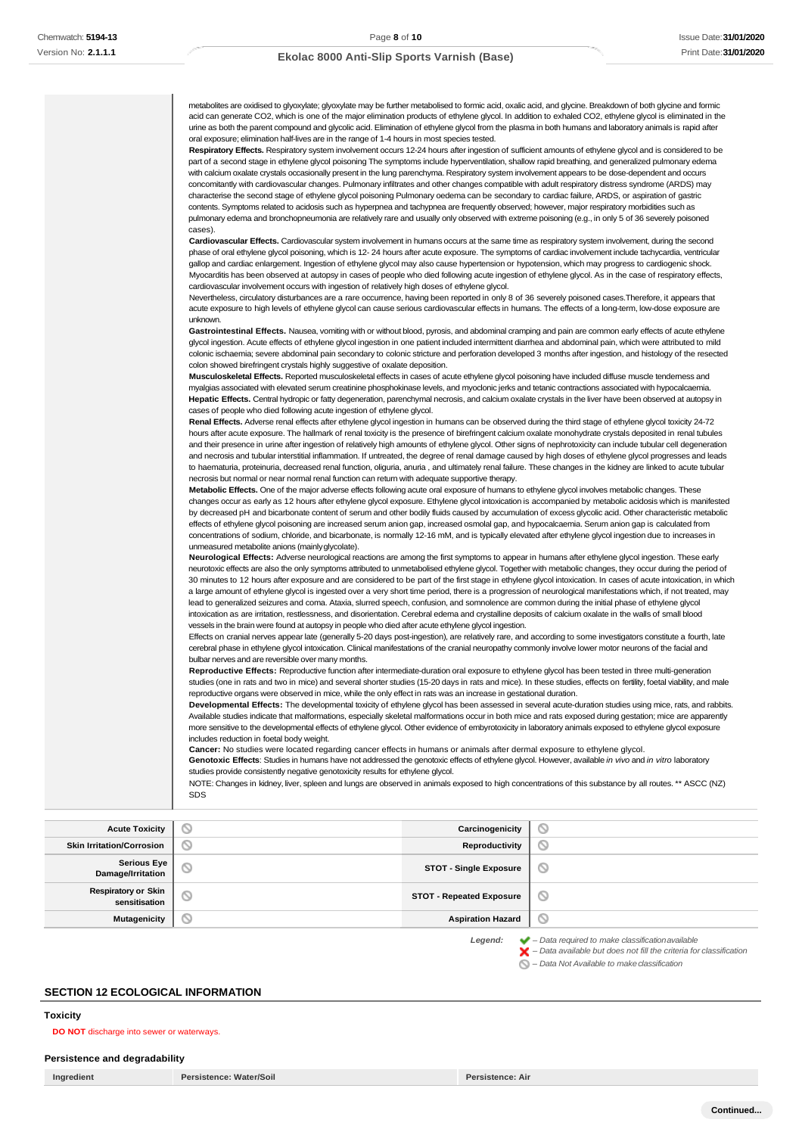f,

## **Ekolac 8000 Anti-Slip Sports Varnish (Base)**

**Skin Irritation/Corrosion Reproductivity**  $\circledcirc$ **Serious Eye Damage/Irritation STOT - Single Exposure**  $\circledcirc$ **Respiratory or Skin STOT - Repeated Exposure**  $\circlearrowright$ **Mutagenicity Aspiration Hazard**  $\odot$ 

*Legend: – Data required to make classificationavailable*

*– Data available but does not fill the criteria for classification*

*– Data Not Available to makeclassification*

# **SECTION 12 ECOLOGICAL INFORMATION**

<span id="page-7-0"></span>**Toxicity**

### **DO NOT** discharge into sewer or waterways.

# **Persistence and degradability**

**Ingredient Persistence: Water/Soil Persistence: Air**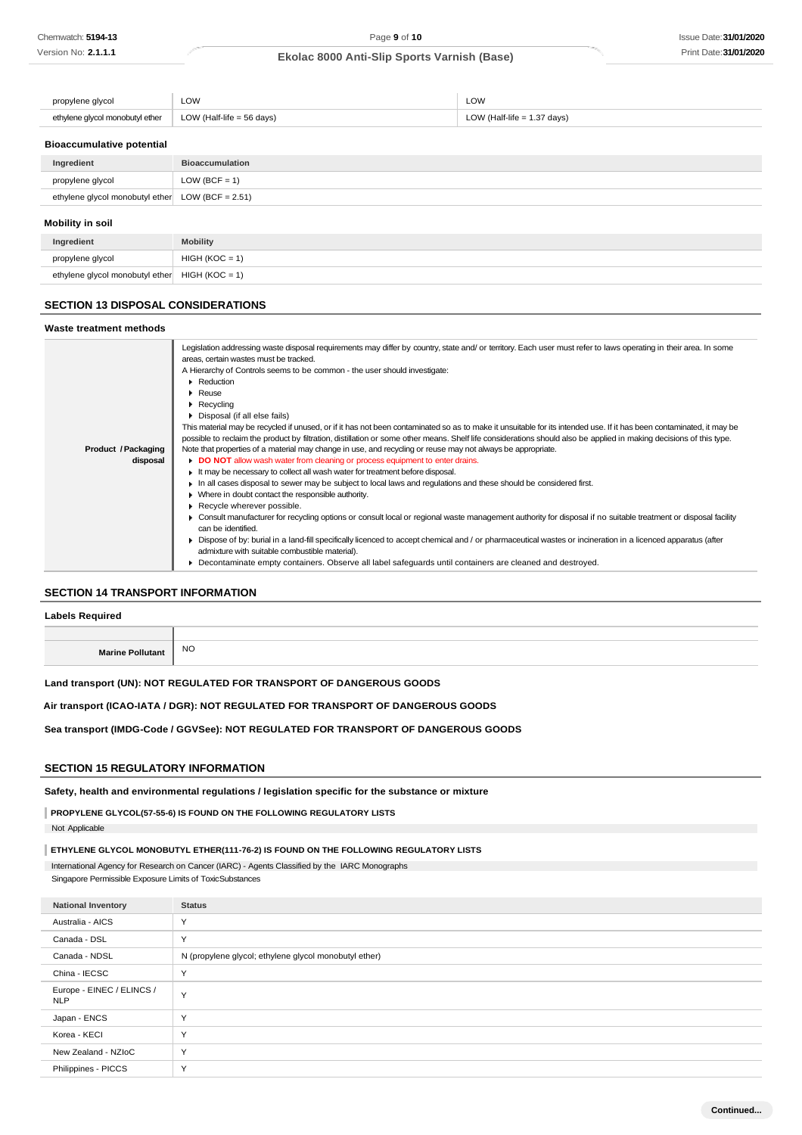| propylene glycol                | LOW                       | LOW                           |
|---------------------------------|---------------------------|-------------------------------|
| ethylene glycol monobutyl ether | LOW (Half-life = 56 days) | LOW (Half-life $= 1.37$ days) |

## **Bioaccumulative potential**

| Ingredient                                         | <b>Bioaccumulation</b> |
|----------------------------------------------------|------------------------|
| propylene glycol                                   | LOW (BCF = $1$ )       |
| ethylene glycol monobutyl ether $LOW$ (BCF = 2.51) |                        |
| Mobility in soil                                   |                        |
| Ingredient                                         | <b>Mobility</b>        |

# ethylene glycol monobutyl ether  $HIGH (KOC = 1)$

### **SECTION 13 DISPOSAL CONSIDERATIONS**

 $propylene glycol$   $HIGH (KOC = 1)$ 

#### **Waste treatment methods Product /Packaging disposal** Legislation addressing waste disposal requirements may differ by country, state and/ or territory. Each user must refer to laws operating in their area. In some areas, certain wastes must be tracked. A Hierarchy of Controls seems to be common - the user should investigate: **Reduction** Reuse **Recycling** Disposal (if all else fails) This material may be recycled if unused, or if it has not been contaminated so as to make it unsuitable for its intended use. If it has been contaminated, it may be possible to reclaim the product by filtration, distillation or some other means. Shelf life considerations should also be applied in making decisions of this type. Note that properties of a material may change in use, and recycling or reuse may not always be appropriate. **DO NOT** allow wash water from cleaning or process equipment to enter drains. It may be necessary to collect all wash water for treatment before disposal. In all cases disposal to sewer may be subject to local laws and regulations and these should be considered first. Where in doubt contact the responsible authority. Recycle wherever possible. Consult manufacturer for recycling options or consult local or regional waste management authority for disposal if no suitable treatment or disposal facility can be identified. Dispose of by: burial in a land-fill specifically licenced to accept chemical and / or pharmaceutical wastes or incineration in a licenced apparatus (after admixture with suitable combustible material). Decontaminate empty containers. Observe all label safeguards until containers are cleaned and destroyed.

### **SECTION 14 TRANSPORT INFORMATION**

| <b>Labels Required</b>  |           |
|-------------------------|-----------|
|                         |           |
| <b>Marine Pollutant</b> | <b>NO</b> |

# **Land transport (UN): NOT REGULATED FOR TRANSPORT OF DANGEROUS GOODS**

#### **Air transport (ICAO-IATA / DGR): NOT REGULATED FOR TRANSPORT OF DANGEROUS GOODS**

### **Sea transport (IMDG-Code / GGVSee): NOT REGULATED FOR TRANSPORT OF DANGEROUS GOODS**

### **SECTION 15 REGULATORY INFORMATION**

**Safety, health and environmental regulations / legislation specific for the substance or mixture**

**PROPYLENE GLYCOL(57-55-6) IS FOUND ON THE FOLLOWING REGULATORY LISTS**

Not Applicable

**ETHYLENE GLYCOL MONOBUTYL ETHER(111-76-2) IS FOUND ON THE FOLLOWING REGULATORY LISTS**

International Agency for Research on Cancer (IARC) - Agents Classified by the IARC Monographs

Singapore Permissible Exposure Limits of ToxicSubstances

| <b>National Inventory</b>               | <b>Status</b>                                         |
|-----------------------------------------|-------------------------------------------------------|
| Australia - AICS                        | $\checkmark$                                          |
| Canada - DSL                            | Y                                                     |
| Canada - NDSL                           | N (propylene glycol; ethylene glycol monobutyl ether) |
| China - IECSC                           | $\checkmark$                                          |
| Europe - EINEC / ELINCS /<br><b>NLP</b> | $\checkmark$                                          |
| Japan - ENCS                            | $\checkmark$                                          |
| Korea - KECI                            | $\checkmark$                                          |
| New Zealand - NZIoC                     | Y                                                     |
| Philippines - PICCS                     | $\checkmark$                                          |